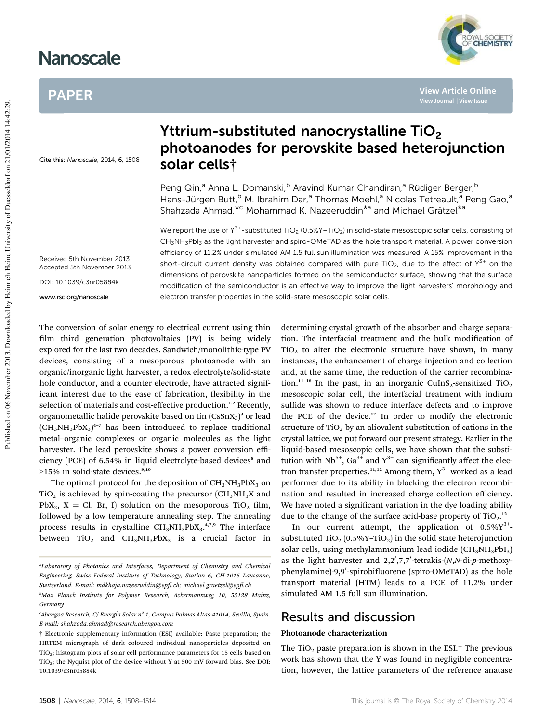# **Nanoscale**

# PAPER

Cite this: Nanoscale, 2014, 6, 1508

# Yttrium-substituted nanocrystalline TiO<sub>2</sub> photoanodes for perovskite based heterojunction solar cells†

Peng Qin,<sup>a</sup> Anna L. Domanski, <sup>b</sup> Aravind Kumar Chandiran, <sup>a</sup> Rüdiger Berger, <sup>b</sup> Hans-Jürgen Butt,<sup>b</sup> M. Ibrahim Dar,<sup>a</sup> Thomas Moehl,<sup>a</sup> Nicolas Tetreault,<sup>a</sup> Peng Gao,<sup>a</sup> Shahzada Ahmad, \*<sup>c</sup> Mohammad K. Nazeeruddin \*<sup>a</sup> and Michael Grätzel \*<sup>a</sup>

We report the use of Y<sup>3+</sup>-substituted TiO<sub>2</sub> (0.5%Y–TiO<sub>2</sub>) in solid-state mesoscopic solar cells, consisting of CH<sub>3</sub>NH<sub>3</sub>PbI<sub>3</sub> as the light harvester and spiro-OMeTAD as the hole transport material. A power conversion efficiency of 11.2% under simulated AM 1.5 full sun illumination was measured. A 15% improvement in the short-circuit current density was obtained compared with pure TiO<sub>2</sub>, due to the effect of Y<sup>3+</sup> on the dimensions of perovskite nanoparticles formed on the semiconductor surface, showing that the surface modification of the semiconductor is an effective way to improve the light harvesters' morphology and electron transfer properties in the solid-state mesoscopic solar cells.

Received 5th November 2013 Accepted 5th November 2013

DOI: 10.1039/c3nr05884k

www.rsc.org/nanoscale

Published on 06 November 2013. Downloaded by Heinrich Heine University of Duesseldorf on 21/01/2014 14:42:29. Published on 06 November 2013. Downloaded by Heinrich Heine University of Duesseldorf on 21/01/2014 14:42:29.

The conversion of solar energy to electrical current using thin film third generation photovoltaics (PV) is being widely explored for the last two decades. Sandwich/monolithic-type PV devices, consisting of a mesoporous photoanode with an organic/inorganic light harvester, a redox electrolyte/solid-state hole conductor, and a counter electrode, have attracted significant interest due to the ease of fabrication, flexibility in the selection of materials and cost-effective production.<sup>1,2</sup> Recently, organometallic halide perovskite based on tin  $(CsSnX<sub>3</sub>)<sup>3</sup>$  or lead  $(CH_3NH_3PbX_3)^{4-7}$  has been introduced to replace traditional metal–organic complexes or organic molecules as the light harvester. The lead perovskite shows a power conversion efficiency (PCE) of 6.54% in liquid electrolyte-based devices<sup>8</sup> and >15% in solid-state devices.<sup>9,10</sup>

The optimal protocol for the deposition of  $CH<sub>3</sub>NH<sub>3</sub>PbX<sub>3</sub>$  on  $TiO<sub>2</sub>$  is achieved by spin-coating the precursor (CH<sub>3</sub>NH<sub>3</sub>X and PbX<sub>2</sub>, X = Cl, Br, I) solution on the mesoporous TiO<sub>2</sub> film, followed by a low temperature annealing step. The annealing process results in crystalline CH<sub>3</sub>NH<sub>3</sub>PbX<sub>3</sub>.<sup>4,7,9</sup> The interface between  $TiO<sub>2</sub>$  and  $CH<sub>3</sub>NH<sub>3</sub>PbX<sub>3</sub>$  is a crucial factor in

determining crystal growth of the absorber and charge separation. The interfacial treatment and the bulk modification of  $TiO<sub>2</sub>$  to alter the electronic structure have shown, in many instances, the enhancement of charge injection and collection and, at the same time, the reduction of the carrier recombination.<sup>11-16</sup> In the past, in an inorganic CuInS<sub>2</sub>-sensitized TiO<sub>2</sub> mesoscopic solar cell, the interfacial treatment with indium sulfide was shown to reduce interface defects and to improve the PCE of the device.<sup>17</sup> In order to modify the electronic structure of  $TiO<sub>2</sub>$  by an aliovalent substitution of cations in the crystal lattice, we put forward our present strategy. Earlier in the liquid-based mesoscopic cells, we have shown that the substitution with  $Nb^{5+}$ , Ga<sup>3+</sup> and Y<sup>3+</sup> can significantly affect the electron transfer properties.<sup>11,12</sup> Among them,  $Y^{3+}$  worked as a lead performer due to its ability in blocking the electron recombination and resulted in increased charge collection efficiency. We have noted a significant variation in the dye loading ability due to the change of the surface acid-base property of  $TiO<sub>2</sub>$ .<sup>12</sup>

In our current attempt, the application of  $0.5\%$  $Y^{3+}$ . substituted TiO<sub>2</sub> (0.5%Y–TiO<sub>2</sub>) in the solid state heterojunction solar cells, using methylammonium lead iodide  $(CH_3NH_3PbI_3)$ as the light harvester and 2,2',7,7'-tetrakis-(*N*,*N*-di-*p*-methoxyphenylamine)-9,9'-spirobifluorene (spiro-OMeTAD) as the hole transport material (HTM) leads to a PCE of 11.2% under simulated AM 1.5 full sun illumination.

## Results and discussion

## Photoanode characterization

The TiO<sub>2</sub> paste preparation is shown in the ESI.<sup>†</sup> The previous work has shown that the Y was found in negligible concentration, however, the lattice parameters of the reference anatase



**View Article Online**

*<sup>a</sup>Laboratory of Photonics and Interfaces, Department of Chemistry and Chemical Engineering, Swiss Federal Institute of Technology, Station 6, CH-1015 Lausanne, Switzerland. E-mail: mdkhaja.nazeeruddin@ep.ch; michael.graetzel@ep.ch*

*<sup>b</sup>Max Planck Institute for Polymer Research, Ackermannweg 10, 55128 Mainz, Germany*

*<sup>c</sup>Abengoa Research, C/ Energ´*ı*a Solar n<sup>o</sup> 1, Campus Palmas Altas-41014, Sevilla, Spain. E-mail: shahzada.ahmad@research.abengoa.com*

<sup>†</sup> Electronic supplementary information (ESI) available: Paste preparation; the HRTEM micrograph of dark coloured individual nanoparticles deposited on TiO2; histogram plots of solar cell performance parameters for 15 cells based on  $TiO<sub>2</sub>$ ; the Nyquist plot of the device without Y at 500 mV forward bias. See DOI: 10.1039/c3nr05884k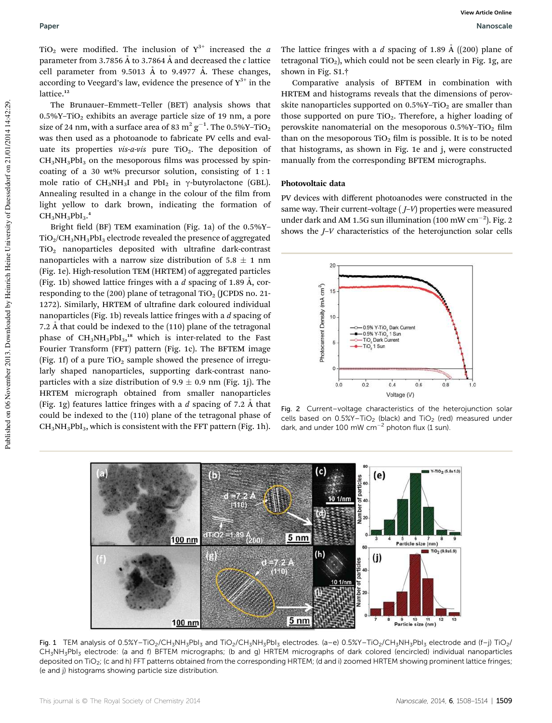TiO<sub>2</sub> were modified. The inclusion of  $Y^{3+}$  increased the *a* parameter from 3.7856  $\AA$  to 3.7864  $\AA$  and decreased the  $c$  lattice cell parameter from 9.5013 Å to 9.4977 Å. These changes, according to Veegard's law, evidence the presence of  $Y^{3+}$  in the lattice.<sup>12</sup>

The Brunauer–Emmett–Teller (BET) analysis shows that  $0.5\%$ Y-TiO<sub>2</sub> exhibits an average particle size of 19 nm, a pore size of 24 nm, with a surface area of 83  $m^2 g^{-1}$ . The 0.5%Y-TiO<sub>2</sub> was then used as a photoanode to fabricate PV cells and evaluate its properties  $vis-a-vis$  pure TiO<sub>2</sub>. The deposition of  $CH<sub>3</sub>NH<sub>3</sub>PbI<sub>3</sub>$  on the mesoporous films was processed by spincoating of a 30 wt% precursor solution, consisting of 1 : 1 mole ratio of  $CH_3NH_3I$  and PbI<sub>2</sub> in  $\gamma$ -butyrolactone (GBL). Annealing resulted in a change in the colour of the film from light yellow to dark brown, indicating the formation of  $\text{CH}_3\text{NH}_3\text{PbI}_3$ .<sup>4</sup>

Bright field (BF) TEM examination (Fig. 1a) of the  $0.5\%$ Y- $TiO<sub>2</sub>/CH<sub>3</sub>NH<sub>3</sub>PbI<sub>3</sub>$  electrode revealed the presence of aggregated  $TiO<sub>2</sub>$  nanoparticles deposited with ultrafine dark-contrast nanoparticles with a narrow size distribution of  $5.8 \pm 1$  nm (Fig. 1e). High-resolution TEM (HRTEM) of aggregated particles (Fig. 1b) showed lattice fringes with a  $d$  spacing of 1.89  $\AA$ , corresponding to the (200) plane of tetragonal TiO<sub>2</sub> (JCPDS no. 21-1272). Similarly, HRTEM of ultrafine dark coloured individual nanoparticles (Fig. 1b) reveals lattice fringes with a *d* spacing of 7.2 Å that could be indexed to the  $(110)$  plane of the tetragonal phase of  $CH_3NH_3PbI_3$ ,<sup>18</sup> which is inter-related to the Fast Fourier Transform (FFT) pattern (Fig. 1c). The BFTEM image (Fig. 1f) of a pure  $TiO<sub>2</sub>$  sample showed the presence of irregularly shaped nanoparticles, supporting dark-contrast nanoparticles with a size distribution of 9.9  $\pm$  0.9 nm (Fig. 1j). The HRTEM micrograph obtained from smaller nanoparticles (Fig. 1g) features lattice fringes with a  $d$  spacing of 7.2  $\AA$  that could be indexed to the (110) plane of the tetragonal phase of  $CH<sub>3</sub>NH<sub>3</sub>PbI<sub>3</sub>$ , which is consistent with the FFT pattern (Fig. 1h).

The lattice fringes with a *d* spacing of 1.89 Å ((200) plane of tetragonal TiO<sub>2</sub>), which could not be seen clearly in Fig. 1g, are shown in Fig. S1.†

Comparative analysis of BFTEM in combination with HRTEM and histograms reveals that the dimensions of perovskite nanoparticles supported on  $0.5\%$ Y-TiO<sub>2</sub> are smaller than those supported on pure  $TiO<sub>2</sub>$ . Therefore, a higher loading of perovskite nanomaterial on the mesoporous  $0.5\%$ Y-TiO<sub>2</sub> film than on the mesoporous  $TiO<sub>2</sub>$  film is possible. It is to be noted that histograms, as shown in Fig. 1e and j, were constructed manually from the corresponding BFTEM micrographs.

## Photovoltaic data

PV devices with different photoanodes were constructed in the same way. Their current–voltage ( *J*–*V*) properties were measured under dark and AM 1.5G sun illumination (100 mW  $cm^{-2}$ ). Fig. 2 shows the *J*–*V* characteristics of the heterojunction solar cells



Fig. 2 Current–voltage characteristics of the heterojunction solar cells based on  $0.5\%$ Y-TiO<sub>2</sub> (black) and TiO<sub>2</sub> (red) measured under dark, and under 100 mW  $\text{cm}^{-2}$  photon flux (1 sun).



Fig. 1 TEM analysis of 0.5%Y-TiO<sub>2</sub>/CH<sub>3</sub>NH<sub>3</sub>PbI<sub>3</sub> and TiO<sub>2</sub>/CH<sub>3</sub>NH<sub>3</sub>PbI<sub>3</sub> electrodes. (a–e) 0.5%Y-TiO<sub>2</sub>/CH<sub>3</sub>NH<sub>3</sub>PbI<sub>3</sub> electrode and (f–j) TiO<sub>2</sub>/ CH3NH3PbI<sup>3</sup> electrode: (a and f) BFTEM micrographs; (b and g) HRTEM micrographs of dark colored (encircled) individual nanoparticles deposited on TiO<sub>2</sub>; (c and h) FFT patterns obtained from the corresponding HRTEM; (d and i) zoomed HRTEM showing prominent lattice fringes; (e and j) histograms showing particle size distribution.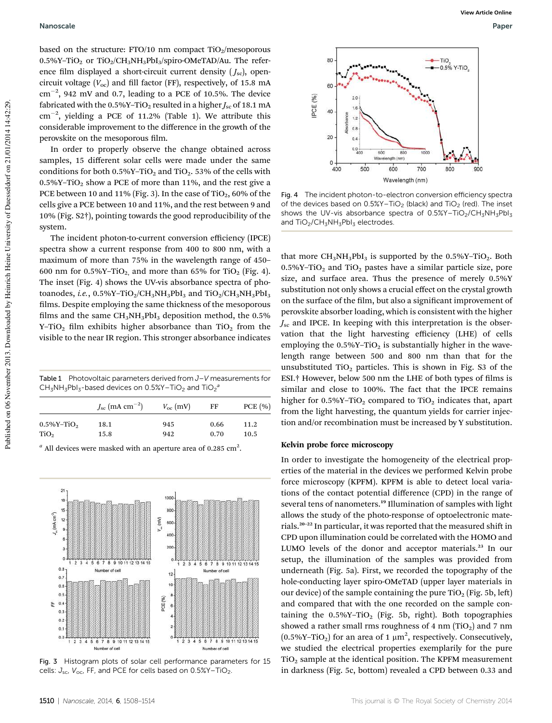based on the structure: FTO/10 nm compact  $TiO<sub>2</sub>/mesoporous$  $0.5\%$ Y-TiO<sub>2</sub> or TiO<sub>2</sub>/CH<sub>3</sub>NH<sub>3</sub>PbI<sub>3</sub>/spiro-OMeTAD/Au. The reference film displayed a short-circuit current density  $(J_{\text{sc}})$ , opencircuit voltage  $(V_{\text{oc}})$  and fill factor (FF), respectively, of 15.8 mA cm-2 , 942 mV and 0.7, leading to a PCE of 10.5%. The device fabricated with the  $0.5\%$ Y-TiO<sub>2</sub> resulted in a higher  $J_{\rm sc}$  of 18.1 mA cm-2 , yielding a PCE of 11.2% (Table 1). We attribute this considerable improvement to the difference in the growth of the perovskite on the mesoporous film.

In order to properly observe the change obtained across samples, 15 different solar cells were made under the same conditions for both  $0.5\%$ Y-TiO<sub>2</sub> and TiO<sub>2</sub>. 53% of the cells with  $0.5\%$ Y-TiO<sub>2</sub> show a PCE of more than 11%, and the rest give a PCE between 10 and 11% (Fig. 3). In the case of TiO<sub>2</sub>, 60% of the cells give a PCE between 10 and 11%, and the rest between 9 and 10% (Fig. S2†), pointing towards the good reproducibility of the system.

The incident photon-to-current conversion efficiency (IPCE) spectra show a current response from 400 to 800 nm, with a maximum of more than 75% in the wavelength range of 450– 600 nm for  $0.5\%$ Y-TiO<sub>2</sub> and more than 65% for TiO<sub>2</sub> (Fig. 4). The inset (Fig. 4) shows the UV-vis absorbance spectra of photoanodes, *i.e.*,  $0.5\%$ Y-TiO<sub>2</sub>/CH<sub>3</sub>NH<sub>3</sub>PbI<sub>3</sub> and TiO<sub>2</sub>/CH<sub>3</sub>NH<sub>3</sub>PbI<sub>3</sub> films. Despite employing the same thickness of the mesoporous films and the same  $\text{CH}_3\text{NH}_3\text{PbI}_3$  deposition method, the 0.5% Y-TiO<sub>2</sub> film exhibits higher absorbance than TiO<sub>2</sub> from the visible to the near IR region. This stronger absorbance indicates

Table 1 Photovoltaic parameters derived from J-V measurements for  $CH_3NH_3Pbl_3$ -based devices on 0.5%Y-TiO<sub>2</sub> and TiO<sub>2</sub><sup>a</sup>

|                            | $J_{\rm sc}\,(\rm{mA}\,\rm{cm}^{-2})$ | $V_{\rm oc}$ (mV) | FF   | PCE(%) |
|----------------------------|---------------------------------------|-------------------|------|--------|
| $0.5\%$ Y-TiO <sub>2</sub> | 18.1                                  | 945               | 0.66 | 11.2   |
| TiO <sub>2</sub>           | 15.8                                  | 942               | 0.70 | 10.5   |

 $^a$  All devices were masked with an aperture area of 0.285 cm<sup>2</sup>.



Fig. 3 Histogram plots of solar cell performance parameters for 15 cells:  $J_{\text{sc}}$ ,  $V_{\text{oc}}$ , FF, and PCE for cells based on 0.5%Y-TiO<sub>2</sub>.



Fig. 4 The incident photon-to-electron conversion efficiency spectra of the devices based on  $0.5\%$ Y-TiO<sub>2</sub> (black) and TiO<sub>2</sub> (red). The inset shows the UV-vis absorbance spectra of  $0.5\%$ Y-TiO<sub>2</sub>/CH<sub>3</sub>NH<sub>3</sub>PbI<sub>3</sub> and TiO<sub>2</sub>/CH<sub>3</sub>NH<sub>3</sub>PbI<sub>3</sub> electrodes.

that more  $CH_3NH_3PbI_3$  is supported by the 0.5%Y-TiO<sub>2</sub>. Both  $0.5\%$ Y–TiO<sub>2</sub> and TiO<sub>2</sub> pastes have a similar particle size, pore size, and surface area. Thus the presence of merely 0.5%Y substitution not only shows a crucial effect on the crystal growth on the surface of the film, but also a significant improvement of perovskite absorber loading, which is consistent with the higher *J*sc and IPCE. In keeping with this interpretation is the observation that the light harvesting efficiency (LHE) of cells employing the  $0.5\%$ Y-TiO<sub>2</sub> is substantially higher in the wavelength range between 500 and 800 nm than that for the unsubstituted  $TiO<sub>2</sub>$  particles. This is shown in Fig. S3 of the ESI.<sup>†</sup> However, below 500 nm the LHE of both types of films is similar and close to 100%. The fact that the IPCE remains higher for  $0.5\%$ Y-TiO<sub>2</sub> compared to TiO<sub>2</sub> indicates that, apart from the light harvesting, the quantum yields for carrier injection and/or recombination must be increased by Y substitution.

#### Kelvin probe force microscopy

In order to investigate the homogeneity of the electrical properties of the material in the devices we performed Kelvin probe force microscopy (KPFM). KPFM is able to detect local variations of the contact potential difference (CPD) in the range of several tens of nanometers.<sup>19</sup> Illumination of samples with light allows the study of the photo-response of optoelectronic materials.<sup>20-22</sup> In particular, it was reported that the measured shift in CPD upon illumination could be correlated with the HOMO and LUMO levels of the donor and acceptor materials.<sup>23</sup> In our setup, the illumination of the samples was provided from underneath (Fig. 5a). First, we recorded the topography of the hole-conducting layer spiro-OMeTAD (upper layer materials in our device) of the sample containing the pure  $TiO<sub>2</sub>$  (Fig. 5b, left) and compared that with the one recorded on the sample containing the  $0.5\%$ Y-TiO<sub>2</sub> (Fig. 5b, right). Both topographies showed a rather small rms roughness of 4 nm  $(TiO<sub>2</sub>)$  and 7 nm  $(0.5\%$ Y-TiO<sub>2</sub>) for an area of 1  $\mu$ m<sup>2</sup>, respectively. Consecutively, we studied the electrical properties exemplarily for the pure TiO<sup>2</sup> sample at the identical position. The KPFM measurement in darkness (Fig. 5c, bottom) revealed a CPD between 0.33 and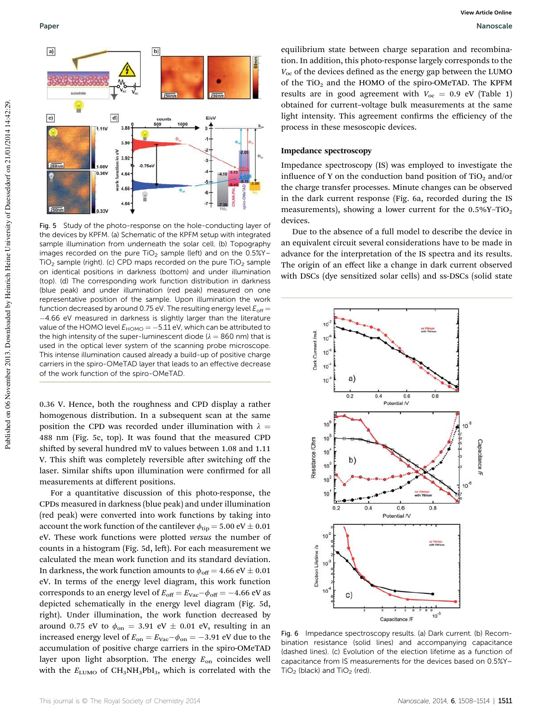

Fig. 5 Study of the photo-response on the hole-conducting layer of the devices by KPFM. (a) Schematic of the KPFM setup with integrated sample illumination from underneath the solar cell. (b) Topography images recorded on the pure  $TiO<sub>2</sub>$  sample (left) and on the  $0.5\%Y TiO<sub>2</sub>$  sample (right). (c) CPD maps recorded on the pure  $TiO<sub>2</sub>$  sample on identical positions in darkness (bottom) and under illumination (top). (d) The corresponding work function distribution in darkness (blue peak) and under illumination (red peak) measured on one representative position of the sample. Upon illumination the work function decreased by around 0.75 eV. The resulting energy level  $E_{off}$  = -4.66 eV measured in darkness is slightly larger than the literature value of the HOMO level  $E_{\sf HOMO} = -5.11$  eV, which can be attributed to the high intensity of the super-luminescent diode ( $\lambda = 860$  nm) that is used in the optical lever system of the scanning probe microscope. This intense illumination caused already a build-up of positive charge carriers in the spiro-OMeTAD layer that leads to an effective decrease of the work function of the spiro-OMeTAD.

0.36 V. Hence, both the roughness and CPD display a rather homogenous distribution. In a subsequent scan at the same position the CPD was recorded under illumination with  $\lambda =$ 488 nm (Fig. 5c, top). It was found that the measured CPD shifted by several hundred mV to values between 1.08 and 1.11 V. This shift was completely reversible after switching off the laser. Similar shifts upon illumination were confirmed for all measurements at different positions.

For a quantitative discussion of this photo-response, the CPDs measured in darkness (blue peak) and under illumination (red peak) were converted into work functions by taking into account the work function of the cantilever  $\phi_{\rm tip} = 5.00 \; \rm eV \pm 0.01$ eV. These work functions were plotted *versus* the number of counts in a histogram (Fig. 5d, left). For each measurement we calculated the mean work function and its standard deviation. In darkness, the work function amounts to  $\phi_{\text{off}} = 4.66 \text{ eV} \pm 0.01$ eV. In terms of the energy level diagram, this work function corresponds to an energy level of  $E_{\text{off}} = E_{\text{Vac}} - \phi_{\text{off}} = -4.66 \text{ eV}$  as depicted schematically in the energy level diagram (Fig. 5d, right). Under illumination, the work function decreased by around 0.75 eV to  $\phi_{\text{on}} = 3.91$  eV  $\pm$  0.01 eV, resulting in an increased energy level of  $E_{\rm on} = E_{\rm vac} - \phi_{\rm on} = -3.91$  eV due to the accumulation of positive charge carriers in the spiro-OMeTAD layer upon light absorption. The energy  $E_{on}$  coincides well with the  $E_{\text{LUMO}}$  of CH<sub>3</sub>NH<sub>3</sub>PbI<sub>3</sub>, which is correlated with the

equilibrium state between charge separation and recombination. In addition, this photo-response largely corresponds to the  $V_{\text{oc}}$  of the devices defined as the energy gap between the LUMO of the TiO<sub>2</sub> and the HOMO of the spiro-OMeTAD. The KPFM results are in good agreement with  $V_{\text{oc}} = 0.9 \text{ eV}$  (Table 1) obtained for current–voltage bulk measurements at the same light intensity. This agreement confirms the efficiency of the process in these mesoscopic devices.

#### Impedance spectroscopy

Impedance spectroscopy (IS) was employed to investigate the influence of Y on the conduction band position of TiO<sub>2</sub> and/or the charge transfer processes. Minute changes can be observed in the dark current response (Fig. 6a, recorded during the IS measurements), showing a lower current for the  $0.5\%$ Y-TiO<sub>2</sub> devices.

Due to the absence of a full model to describe the device in an equivalent circuit several considerations have to be made in advance for the interpretation of the IS spectra and its results. The origin of an effect like a change in dark current observed with DSCs (dye sensitized solar cells) and ss-DSCs (solid state



Fig. 6 Impedance spectroscopy results. (a) Dark current. (b) Recombination resistance (solid lines) and accompanying capacitance (dashed lines). (c) Evolution of the election lifetime as a function of capacitance from IS measurements for the devices based on 0.5%Y–  $TiO<sub>2</sub>$  (black) and  $TiO<sub>2</sub>$  (red).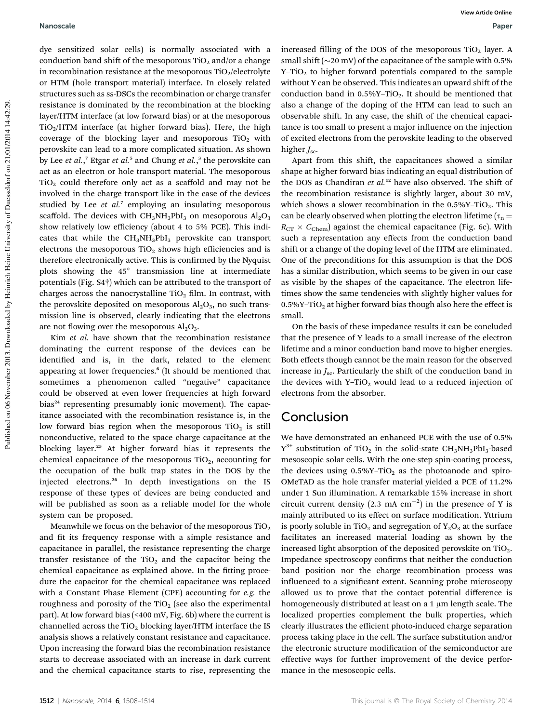dye sensitized solar cells) is normally associated with a conduction band shift of the mesoporous  $TiO<sub>2</sub>$  and/or a change in recombination resistance at the mesoporous  $TiO<sub>2</sub>/electrolyte$ or HTM (hole transport material) interface. In closely related structures such as ss-DSCs the recombination or charge transfer resistance is dominated by the recombination at the blocking layer/HTM interface (at low forward bias) or at the mesoporous  $TiO<sub>2</sub>/HTM$  interface (at higher forward bias). Here, the high coverage of the blocking layer and mesoporous  $TiO<sub>2</sub>$  with perovskite can lead to a more complicated situation. As shown by Lee *et al.*,<sup>7</sup> Etgar *et al.*<sup>5</sup> and Chung *et al.*,<sup>3</sup> the perovskite can act as an electron or hole transport material. The mesoporous  $TiO<sub>2</sub>$  could therefore only act as a scaffold and may not be involved in the charge transport like in the case of the devices studied by Lee *et al.*<sup>7</sup> employing an insulating mesoporous scaffold. The devices with  $CH_3NH_3PbI_3$  on mesoporous  $Al_2O_3$ show relatively low efficiency (about 4 to 5% PCE). This indicates that while the  $CH<sub>3</sub>NH<sub>3</sub>PbI<sub>3</sub>$  perovskite can transport electrons the mesoporous  $TiO<sub>2</sub>$  shows high efficiencies and is therefore electronically active. This is confirmed by the Nyquist plots showing the 45° transmission line at intermediate potentials (Fig. S4†) which can be attributed to the transport of charges across the nanocrystalline  $TiO<sub>2</sub>$  film. In contrast, with the perovskite deposited on mesoporous  $Al_2O_3$ , no such transmission line is observed, clearly indicating that the electrons are not flowing over the mesoporous  $Al<sub>2</sub>O<sub>3</sub>$ .

Kim *et al.* have shown that the recombination resistance dominating the current response of the devices can be identified and is, in the dark, related to the element appearing at lower frequencies.<sup>6</sup> (It should be mentioned that sometimes a phenomenon called "negative" capacitance could be observed at even lower frequencies at high forward bias<sup>24</sup> representing presumably ionic movement). The capacitance associated with the recombination resistance is, in the low forward bias region when the mesoporous  $TiO<sub>2</sub>$  is still nonconductive, related to the space charge capacitance at the blocking layer.<sup>25</sup> At higher forward bias it represents the chemical capacitance of the mesoporous  $TiO<sub>2</sub>$ , accounting for the occupation of the bulk trap states in the DOS by the injected electrons.<sup>26</sup> In depth investigations on the IS response of these types of devices are being conducted and will be published as soon as a reliable model for the whole system can be proposed.

Meanwhile we focus on the behavior of the mesoporous  $TiO<sub>2</sub>$ and fit its frequency response with a simple resistance and capacitance in parallel, the resistance representing the charge transfer resistance of the  $TiO<sub>2</sub>$  and the capacitor being the chemical capacitance as explained above. In the fitting procedure the capacitor for the chemical capacitance was replaced with a Constant Phase Element (CPE) accounting for *e.g.* the roughness and porosity of the  $TiO<sub>2</sub>$  (see also the experimental part). At low forward bias (<400 mV, Fig. 6b) where the current is channelled across the  $TiO<sub>2</sub>$  blocking layer/HTM interface the IS analysis shows a relatively constant resistance and capacitance. Upon increasing the forward bias the recombination resistance starts to decrease associated with an increase in dark current and the chemical capacitance starts to rise, representing the

increased filling of the DOS of the mesoporous  $TiO<sub>2</sub>$  layer. A small shift ( $\sim$ 20 mV) of the capacitance of the sample with 0.5%  $Y-TiO<sub>2</sub>$  to higher forward potentials compared to the sample without Y can be observed. This indicates an upward shift of the conduction band in  $0.5\%$ Y-TiO<sub>2</sub>. It should be mentioned that also a change of the doping of the HTM can lead to such an observable shift. In any case, the shift of the chemical capacitance is too small to present a major influence on the injection of excited electrons from the perovskite leading to the observed higher *J<sub>sc</sub>*.

Apart from this shift, the capacitances showed a similar shape at higher forward bias indicating an equal distribution of the DOS as Chandiran et al.<sup>12</sup> have also observed. The shift of the recombination resistance is slightly larger, about 30 mV, which shows a slower recombination in the  $0.5\%$ Y-TiO<sub>2</sub>. This can be clearly observed when plotting the electron lifetime ( $\tau_n =$  $R_{CT} \times C_{Chem}$ ) against the chemical capacitance (Fig. 6c). With such a representation any effects from the conduction band shift or a change of the doping level of the HTM are eliminated. One of the preconditions for this assumption is that the DOS has a similar distribution, which seems to be given in our case as visible by the shapes of the capacitance. The electron lifetimes show the same tendencies with slightly higher values for  $0.5\%$ Y-TiO<sub>2</sub> at higher forward bias though also here the effect is small.

On the basis of these impedance results it can be concluded that the presence of Y leads to a small increase of the electron lifetime and a minor conduction band move to higher energies. Both effects though cannot be the main reason for the observed increase in  $J_{\rm sc}$ . Particularly the shift of the conduction band in the devices with  $Y-TiO<sub>2</sub>$  would lead to a reduced injection of electrons from the absorber.

## Conclusion

We have demonstrated an enhanced PCE with the use of 0.5%  $Y^{3+}$  substitution of TiO<sub>2</sub> in the solid-state CH<sub>3</sub>NH<sub>3</sub>PbI<sub>3</sub>-based mesoscopic solar cells. With the one-step spin-coating process, the devices using  $0.5\%$ Y-TiO<sub>2</sub> as the photoanode and spiro-OMeTAD as the hole transfer material yielded a PCE of 11.2% under 1 Sun illumination. A remarkable 15% increase in short circuit current density  $(2.3 \text{ mA cm}^{-2})$  in the presence of Y is mainly attributed to its effect on surface modification. Yttrium is poorly soluble in TiO<sub>2</sub> and segregation of  $Y_2O_3$  at the surface facilitates an increased material loading as shown by the increased light absorption of the deposited perovskite on  $TiO<sub>2</sub>$ . Impedance spectroscopy confirms that neither the conduction band position nor the charge recombination process was influenced to a significant extent. Scanning probe microscopy allowed us to prove that the contact potential difference is homogeneously distributed at least on a 1  $\mu$ m length scale. The localized properties complement the bulk properties, which clearly illustrates the efficient photo-induced charge separation process taking place in the cell. The surface substitution and/or the electronic structure modification of the semiconductor are effective ways for further improvement of the device performance in the mesoscopic cells.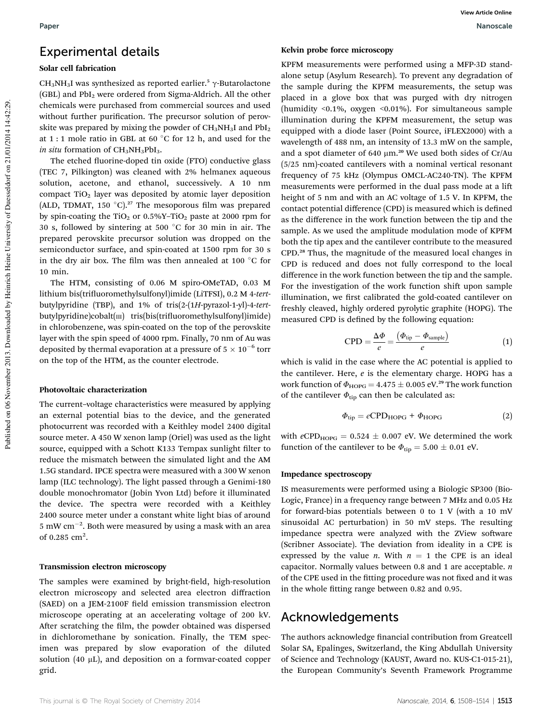## Experimental details

## Solar cell fabrication

CH<sub>3</sub>NH<sub>3</sub>I was synthesized as reported earlier.<sup>5</sup>  $\gamma$ -Butarolactone (GBL) and PbI<sub>2</sub> were ordered from Sigma-Aldrich. All the other chemicals were purchased from commercial sources and used without further purification. The precursor solution of perovskite was prepared by mixing the powder of  $CH<sub>3</sub>NH<sub>3</sub>I$  and  $PbI<sub>2</sub>$ at 1 : 1 mole ratio in GBL at 60  $^{\circ}$ C for 12 h, and used for the *in situ* formation of  $CH<sub>3</sub>NH<sub>3</sub>PbI<sub>3</sub>$ .

The etched fluorine-doped tin oxide (FTO) conductive glass (TEC 7, Pilkington) was cleaned with 2% helmanex aqueous solution, acetone, and ethanol, successively. A 10 nm compact TiO<sub>2</sub> layer was deposited by atomic layer deposition (ALD, TDMAT, 150  $^{\circ}$ C).<sup>27</sup> The mesoporous film was prepared by spin-coating the TiO<sub>2</sub> or  $0.5\%$ Y-TiO<sub>2</sub> paste at 2000 rpm for 30 s, followed by sintering at 500  $^{\circ}$ C for 30 min in air. The prepared perovskite precursor solution was dropped on the semiconductor surface, and spin-coated at 1500 rpm for 30 s in the dry air box. The film was then annealed at 100  $\degree$ C for 10 min.

The HTM, consisting of 0.06 M spiro-OMeTAD, 0.03 M lithium bis(triuoromethylsulfonyl)imide (LiTFSI), 0.2 M 4-*tert*butylpyridine (TBP), and 1% of tris(2-(1*H*-pyrazol-1-yl)-4-*tert*butylpyridine)cobalt(m) tris(bis(trifluoromethylsulfonyl)imide) in chlorobenzene, was spin-coated on the top of the perovskite layer with the spin speed of 4000 rpm. Finally, 70 nm of Au was deposited by thermal evaporation at a pressure of  $5 \times 10^{-6}$  torr on the top of the HTM, as the counter electrode.

#### Photovoltaic characterization

The current–voltage characteristics were measured by applying an external potential bias to the device, and the generated photocurrent was recorded with a Keithley model 2400 digital source meter. A 450 W xenon lamp (Oriel) was used as the light source, equipped with a Schott K133 Tempax sunlight filter to reduce the mismatch between the simulated light and the AM 1.5G standard. IPCE spectra were measured with a 300 W xenon lamp (ILC technology). The light passed through a Genimi-180 double monochromator (Jobin Yvon Ltd) before it illuminated the device. The spectra were recorded with a Keithley 2400 source meter under a constant white light bias of around 5 mW cm<sup>-2</sup>. Both were measured by using a mask with an area of 0.285  $\text{cm}^2$ .

## Transmission electron microscopy

The samples were examined by bright-field, high-resolution electron microscopy and selected area electron diffraction (SAED) on a JEM-2100F field emission transmission electron microscope operating at an accelerating voltage of 200 kV. After scratching the film, the powder obtained was dispersed in dichloromethane by sonication. Finally, the TEM specimen was prepared by slow evaporation of the diluted solution (40  $\mu$ L), and deposition on a formvar-coated copper grid.

#### Kelvin probe force microscopy

KPFM measurements were performed using a MFP-3D standalone setup (Asylum Research). To prevent any degradation of the sample during the KPFM measurements, the setup was placed in a glove box that was purged with dry nitrogen (humidity <0.1%, oxygen <0.01%). For simultaneous sample illumination during the KPFM measurement, the setup was equipped with a diode laser (Point Source, iFLEX2000) with a wavelength of 488 nm, an intensity of 13.3 mW on the sample, and a spot diameter of 640 µm.<sup>20</sup> We used both sides of Cr/Au (5/25 nm)-coated cantilevers with a nominal vertical resonant frequency of 75 kHz (Olympus OMCL-AC240-TN). The KPFM measurements were performed in the dual pass mode at a li height of 5 nm and with an AC voltage of 1.5 V. In KPFM, the contact potential difference (CPD) is measured which is defined as the difference in the work function between the tip and the sample. As we used the amplitude modulation mode of KPFM both the tip apex and the cantilever contribute to the measured CPD.<sup>28</sup> Thus, the magnitude of the measured local changes in CPD is reduced and does not fully correspond to the local difference in the work function between the tip and the sample. For the investigation of the work function shift upon sample illumination, we first calibrated the gold-coated cantilever on freshly cleaved, highly ordered pyrolytic graphite (HOPG). The measured CPD is defined by the following equation:

$$
CPD = \frac{\Delta \Phi}{e} = \frac{(\Phi_{\text{tip}} - \Phi_{\text{sample}})}{e}
$$
 (1)

which is valid in the case where the AC potential is applied to the cantilever. Here, *e* is the elementary charge. HOPG has a work function of  $\Phi_{\text{HOPG}} = 4.475 \pm 0.005$  eV.<sup>29</sup> The work function of the cantilever  $\Phi_{\text{tip}}$  can then be calculated as:

$$
\Phi_{\rm tip} = e\text{CPD}_{\rm HOPG} + \Phi_{\rm HOPG} \tag{2}
$$

with  $e$ CPD<sub>HOPG</sub> = 0.524  $\pm$  0.007 eV. We determined the work function of the cantilever to be  $\Phi_{\text{tip}} = 5.00 \pm 0.01$  eV.

## Impedance spectroscopy

IS measurements were performed using a Biologic SP300 (Bio-Logic, France) in a frequency range between 7 MHz and 0.05 Hz for forward-bias potentials between 0 to 1 V (with a 10 mV sinusoidal AC perturbation) in 50 mV steps. The resulting impedance spectra were analyzed with the ZView software (Scribner Associate). The deviation from ideality in a CPE is expressed by the value *n*. With  $n = 1$  the CPE is an ideal capacitor. Normally values between 0.8 and 1 are acceptable. *n* of the CPE used in the fitting procedure was not fixed and it was in the whole fitting range between 0.82 and 0.95.

## Acknowledgements

The authors acknowledge financial contribution from Greatcell Solar SA, Epalinges, Switzerland, the King Abdullah University of Science and Technology (KAUST, Award no. KUS-C1-015-21), the European Community's Seventh Framework Programme